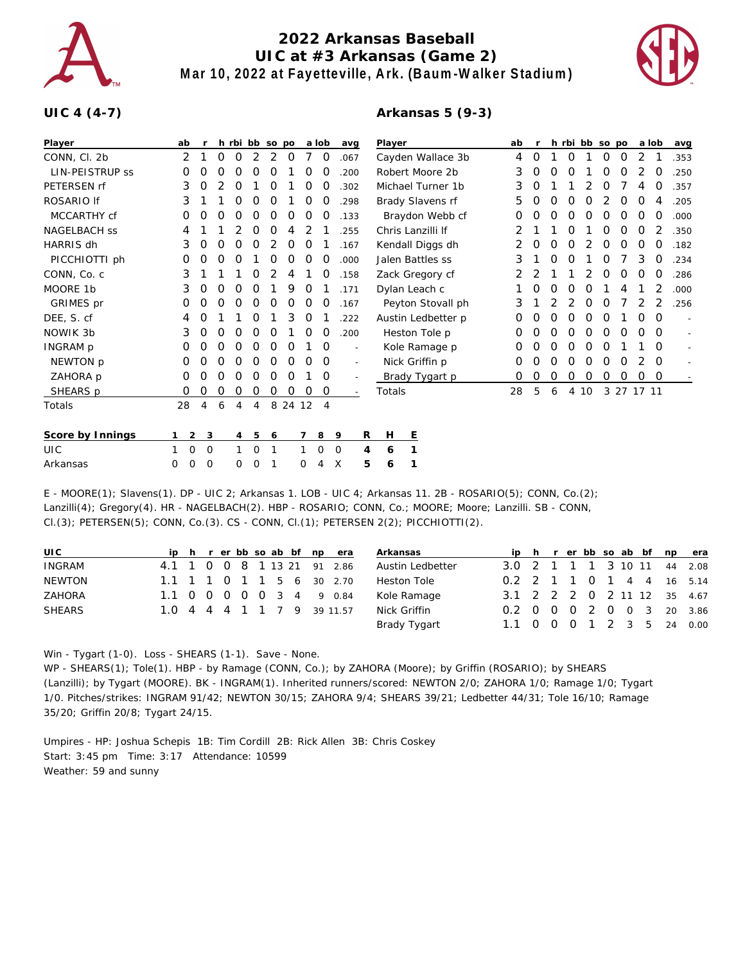

## **2022 Arkansas Baseball UIC at #3 Arkansas (Game 2) Mar 10, 2022 at Fayetteville, Ark. (Baum-Walker Stadium)**



## **UIC 4 (4-7)**

## **Arkansas 5 (9-3)**

| Player              | ab          |                |   |   |   | h rbi bb so po |         |   | a lob          | avg                      |   | Player |                    | ab |   |   |                |    | h rbi bb so po |   | a lob      |          | avg                      |
|---------------------|-------------|----------------|---|---|---|----------------|---------|---|----------------|--------------------------|---|--------|--------------------|----|---|---|----------------|----|----------------|---|------------|----------|--------------------------|
| CONN, Cl. 2b        | 2           |                | 0 | 0 | 2 | 2              | 0       |   | 0              | .067                     |   |        | Cayden Wallace 3b  | 4  | 0 |   | 0              |    | 0              | 0 | 2          |          | .353                     |
| LIN-PEISTRUP SS     | 0           | 0              | Ο | 0 | 0 | 0              |         | O | O              | .200                     |   |        | Robert Moore 2b    | 3  | O | O | 0              |    | 0              | 0 |            | 0        | .250                     |
| PETERSEN rf         | 3           | 0              | 2 | 0 |   | 0              |         | 0 | 0              | .302                     |   |        | Michael Turner 1b  | 3  | 0 |   |                |    | O              |   |            | 0        | .357                     |
| ROSARIO If          | 3           |                |   | 0 | 0 | 0              |         | 0 | 0              | .298                     |   |        | Brady Slavens rf   | 5  | O | 0 | O              | O  |                | 0 | 0          | 4        | .205                     |
| MCCARTHY cf         | 0           | O              | Ο | 0 | O | 0              | 0       | 0 | O              | .133                     |   |        | Braydon Webb cf    | O  | Ο | O | O              | O  | O              | O | $\Omega$   | O        | .000                     |
| <b>NAGELBACH SS</b> | 4           |                |   |   | 0 | 0              | 4       |   |                | .255                     |   |        | Chris Lanzilli If  |    |   |   | Ο              |    | Ο              | 0 | 0          | 2        | .350                     |
| HARRIS dh           | 3           | O              | 0 | O | 0 | 2              | 0       | 0 |                | .167                     |   |        | Kendall Diggs dh   |    | 0 | 0 | 0              | 2  | 0              | 0 | 0          | 0        | .182                     |
| PICCHIOTTI ph       | 0           | 0              | 0 | 0 |   | 0              | 0       | 0 | O              | .000                     |   |        | Jalen Battles ss   | 3  |   | 0 | 0              |    | O              |   | 3          | 0        | .234                     |
| CONN, Co. c         | 3           |                |   |   | 0 |                | 4       |   |                | .158                     |   |        | Zack Gregory cf    | 2  | 2 |   |                |    | 0              | 0 | 0          | 0        | .286                     |
| MOORE 1b            | 3           | 0              | 0 | O | 0 |                | 9       | 0 |                | .171                     |   |        | Dylan Leach c      |    | 0 | 0 | O              | O  |                |   |            | 2        | .000                     |
| GRIMES pr           | 0           | Ο              | O | 0 | O | 0              | O       | O | O              | .167                     |   |        | Peyton Stovall ph  | 3  |   |   |                | O  | O              |   |            |          | .256                     |
| DEE, S. cf          | 4           | Ο              |   |   | O |                | 3       | 0 |                | .222                     |   |        | Austin Ledbetter p | Ο  | O | 0 | O              | O  | O              |   | 0          | $\Omega$ |                          |
| NOWIK 3b            | 3           | 0              | 0 | 0 | 0 | 0              |         | 0 | 0              | .200                     |   |        | Heston Tole p      | 0  | 0 | 0 | 0              | 0  | 0              | O | 0          | $\Omega$ | $\sim$                   |
| INGRAM p            | O           | 0              | 0 | O | 0 | 0              | 0       |   | O              | $\overline{a}$           |   |        | Kole Ramage p      | 0  | 0 | 0 | 0              | O  | O              |   |            | O        | $\overline{\phantom{a}}$ |
| NEWTON p            | 0           | 0              | 0 | 0 | 0 | 0              | 0       | O | 0              | $\overline{\phantom{a}}$ |   |        | Nick Griffin p     | 0  | Ο | O | 0              | 0  | 0              | 0 | 2          | $\Omega$ |                          |
| ZAHORA p            | 0           | 0              | 0 | 0 | O | 0              | O       |   | 0              | $\overline{a}$           |   |        | Brady Tygart p     | 0  | 0 | 0 | 0              | 0  | 0              | 0 | 0          | $\circ$  |                          |
| SHEARS p            | 0           | 0              | 0 | 0 | 0 | 0              | 0       | 0 | O              | $\sim$                   |   | Totals |                    | 28 | 5 | 6 | $\overline{4}$ | 10 |                |   | 3 27 17 11 |          |                          |
| Totals              | 28          | 4              | 6 | 4 | 4 |                | 8 24 12 |   | $\overline{4}$ |                          |   |        |                    |    |   |   |                |    |                |   |            |          |                          |
|                     |             |                |   |   |   |                |         |   |                |                          |   |        |                    |    |   |   |                |    |                |   |            |          |                          |
| Score by Innings    |             | 2 <sup>3</sup> |   | 4 | 5 | 6              |         |   | 8              | -9                       | R | Н      | E                  |    |   |   |                |    |                |   |            |          |                          |
| <b>UIC</b>          | $\mathbf 0$ | 0              |   | 1 | 0 | 1              |         |   | 0              | $\mathbf 0$              | 4 | 6      | 1                  |    |   |   |                |    |                |   |            |          |                          |
| Arkansas            | 0<br>0      | 0              |   | 0 | Ω | 1              |         | Ω | 4              | X                        | 5 | 6      | 1                  |    |   |   |                |    |                |   |            |          |                          |

E - MOORE(1); Slavens(1). DP - UIC 2; Arkansas 1. LOB - UIC 4; Arkansas 11. 2B - ROSARIO(5); CONN, Co.(2); Lanzilli(4); Gregory(4). HR - NAGELBACH(2). HBP - ROSARIO; CONN, Co.; MOORE; Moore; Lanzilli. SB - CONN, Cl.(3); PETERSEN(5); CONN, Co.(3). CS - CONN, Cl.(1); PETERSEN 2(2); PICCHIOTTI(2).

| UIC           |  |  |  |  | ip h r er bb so ab bf np era | Arkansas         |                             |  |  |  |  | ip h r er bb so ab bf np era |
|---------------|--|--|--|--|------------------------------|------------------|-----------------------------|--|--|--|--|------------------------------|
| INGRAM        |  |  |  |  | 4.1 1 0 0 8 1 13 21 91 2.86  | Austin Ledbetter | 3.0 2 1 1 1 3 10 11 44 2.08 |  |  |  |  |                              |
| <b>NEWTON</b> |  |  |  |  | 1.1 1 1 0 1 1 5 6 30 2.70    | Heston Tole      | 0.2 2 1 1 0 1 4 4 16 5.14   |  |  |  |  |                              |
| <b>ZAHORA</b> |  |  |  |  | 1.1 0 0 0 0 0 3 4 9 0.84     | Kole Ramage      | 3.1 2 2 2 0 2 11 12 35 4.67 |  |  |  |  |                              |
| <b>SHEARS</b> |  |  |  |  | 1.0 4 4 4 1 1 7 9 39 11.57   | Nick Griffin     | 0.2 0 0 0 2 0 0 3 20 3.86   |  |  |  |  |                              |
|               |  |  |  |  |                              | Brady Tygart     | 1.1 0 0 0 1 2 3 5 24 0.00   |  |  |  |  |                              |

Win - Tygart (1-0). Loss - SHEARS (1-1). Save - None.

WP - SHEARS(1); Tole(1). HBP - by Ramage (CONN, Co.); by ZAHORA (Moore); by Griffin (ROSARIO); by SHEARS (Lanzilli); by Tygart (MOORE). BK - INGRAM(1). Inherited runners/scored: NEWTON 2/0; ZAHORA 1/0; Ramage 1/0; Tygart 1/0. Pitches/strikes: INGRAM 91/42; NEWTON 30/15; ZAHORA 9/4; SHEARS 39/21; Ledbetter 44/31; Tole 16/10; Ramage 35/20; Griffin 20/8; Tygart 24/15.

Umpires - HP: Joshua Schepis 1B: Tim Cordill 2B: Rick Allen 3B: Chris Coskey Start: 3:45 pm Time: 3:17 Attendance: 10599 Weather: 59 and sunny